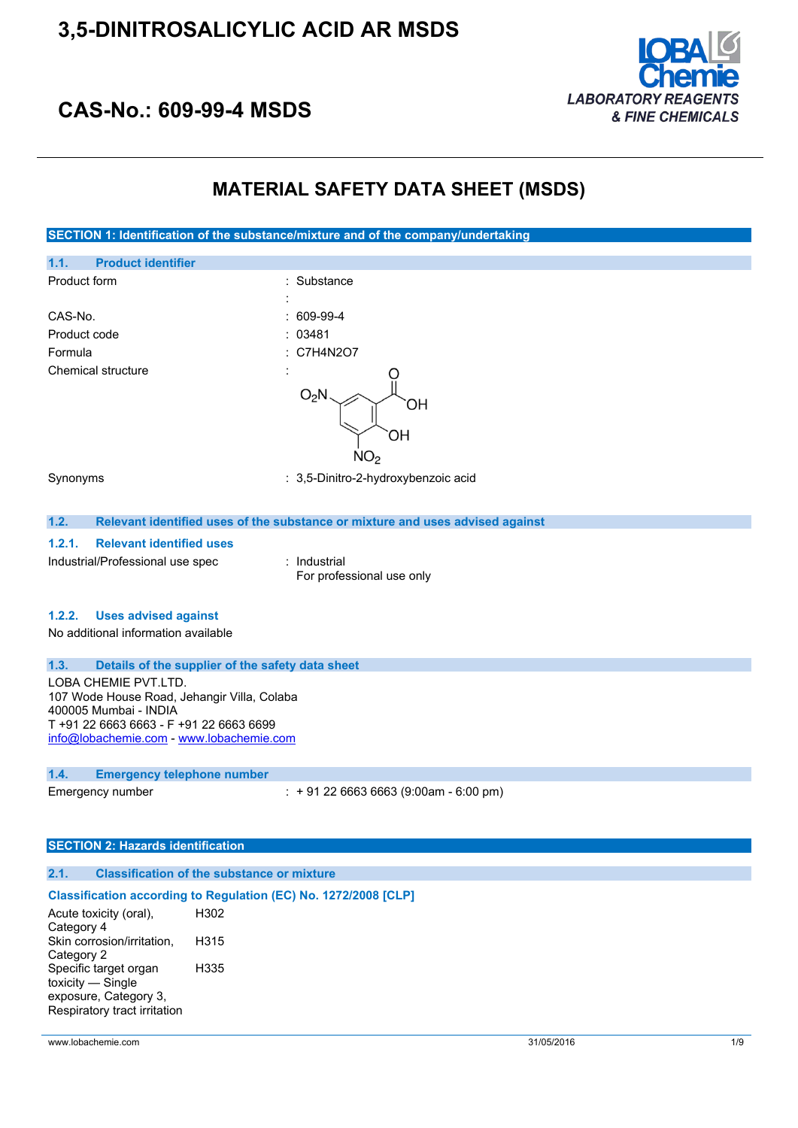

## **CAS-No.: 609-99-4 MSDS**

### **MATERIAL SAFETY DATA SHEET (MSDS)**

**SECTION 1: Identification of the substance/mixture and of the company/undertaking**



Category 4 Skin corrosion/irritation, Category 2 H315 Specific target organ toxicity — Single exposure, Category 3, Respiratory tract irritation H335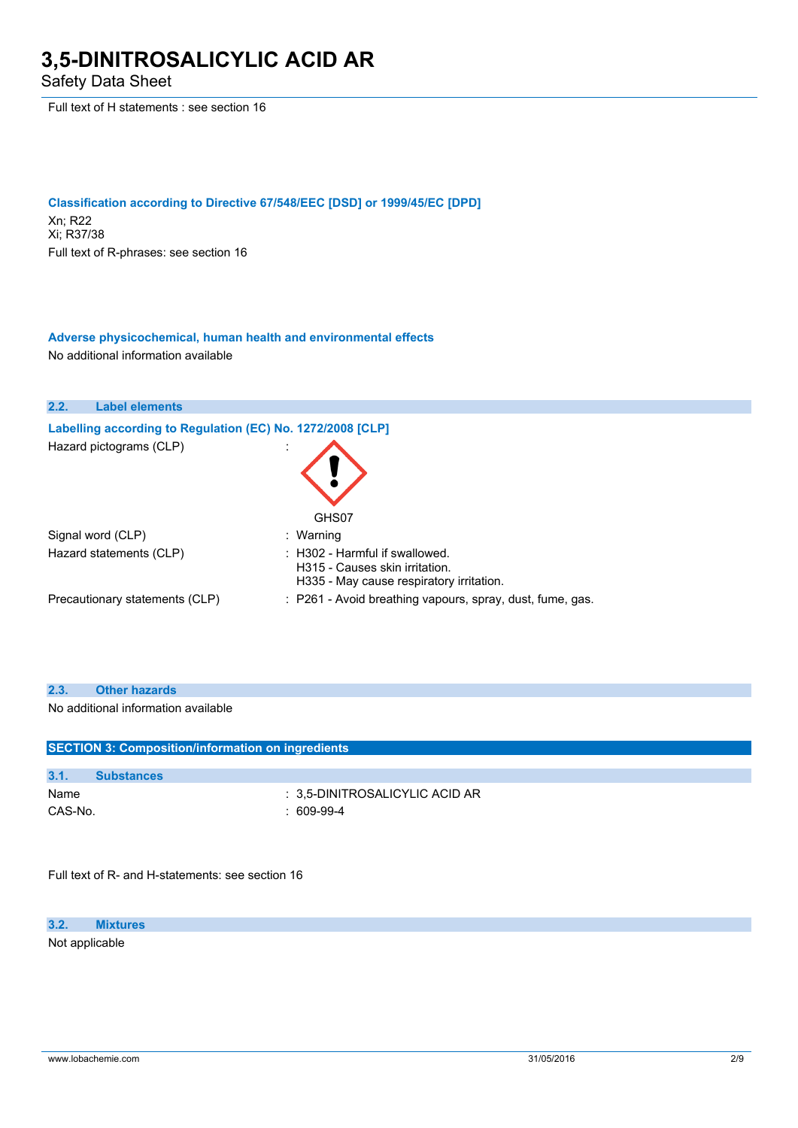Safety Data Sheet

Full text of H statements : see section 16

**Classification according to Directive 67/548/EEC [DSD] or 1999/45/EC [DPD]** Xn; R22 Xi; R37/38 Full text of R-phrases: see section 16

**Adverse physicochemical, human health and environmental effects** No additional information available

| 2.2. | <b>Label elements</b>                                      |                                                                                                                         |
|------|------------------------------------------------------------|-------------------------------------------------------------------------------------------------------------------------|
|      | Labelling according to Regulation (EC) No. 1272/2008 [CLP] |                                                                                                                         |
|      | Hazard pictograms (CLP)                                    | GHS07                                                                                                                   |
|      | Signal word (CLP)                                          | : Warning                                                                                                               |
|      | Hazard statements (CLP)                                    | $\therefore$ H302 - Harmful if swallowed.<br>H315 - Causes skin irritation.<br>H335 - May cause respiratory irritation. |
|      | Precautionary statements (CLP)                             | : P261 - Avoid breathing vapours, spray, dust, fume, gas.                                                               |

| 2.3.    | <b>Other hazards</b>                                     |                                |  |
|---------|----------------------------------------------------------|--------------------------------|--|
|         | No additional information available                      |                                |  |
|         |                                                          |                                |  |
|         | <b>SECTION 3: Composition/information on ingredients</b> |                                |  |
|         |                                                          |                                |  |
| 3.1.    | <b>Substances</b>                                        |                                |  |
| Name    |                                                          | : 3.5-DINITROSALICYLIC ACID AR |  |
| CAS-No. |                                                          | : $609-99-4$                   |  |
|         |                                                          |                                |  |

Full text of R- and H-statements: see section 16

**3.2. Mixtures**

Not applicable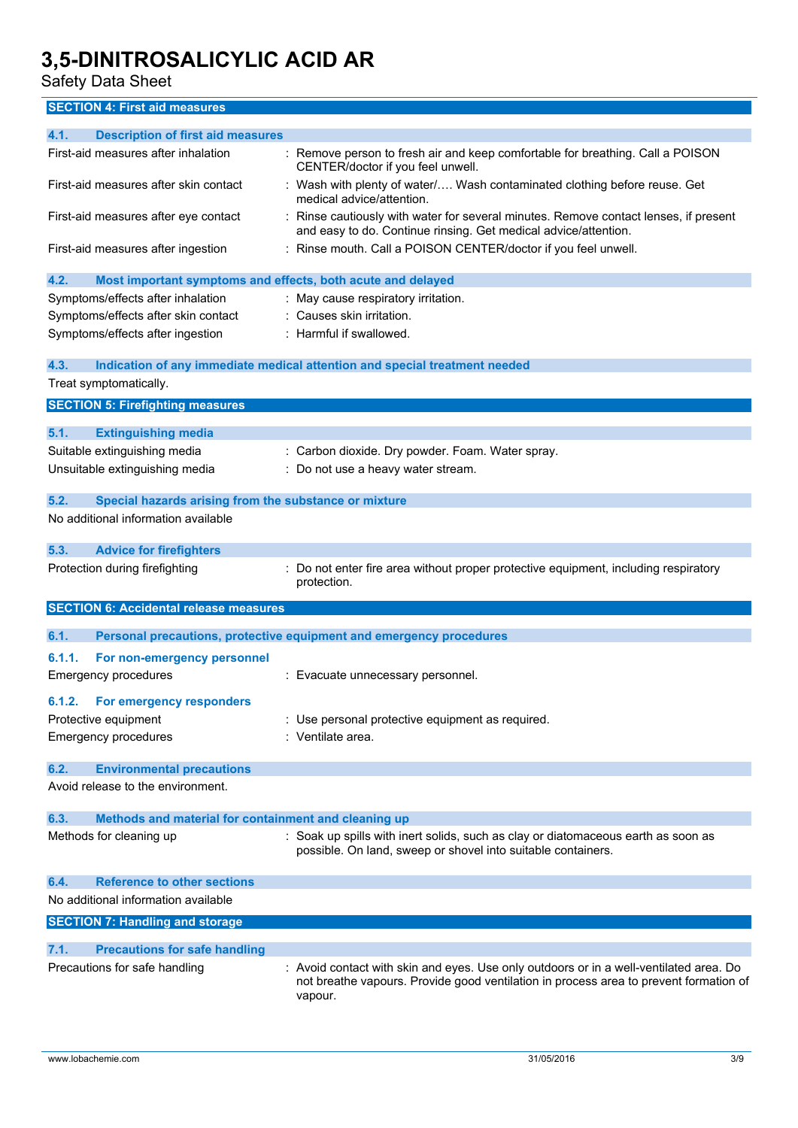### Safety Data Sheet

### **SECTION 4: First aid measures**

| 4.1.<br><b>Description of first aid measures</b>                    |                                                                                                                                                                                          |
|---------------------------------------------------------------------|------------------------------------------------------------------------------------------------------------------------------------------------------------------------------------------|
| First-aid measures after inhalation                                 | : Remove person to fresh air and keep comfortable for breathing. Call a POISON<br>CENTER/doctor if you feel unwell.                                                                      |
| First-aid measures after skin contact                               | : Wash with plenty of water/ Wash contaminated clothing before reuse. Get<br>medical advice/attention.                                                                                   |
| First-aid measures after eye contact                                | Rinse cautiously with water for several minutes. Remove contact lenses, if present<br>and easy to do. Continue rinsing. Get medical advice/attention.                                    |
| First-aid measures after ingestion                                  | Rinse mouth. Call a POISON CENTER/doctor if you feel unwell.                                                                                                                             |
| 4.2.<br>Most important symptoms and effects, both acute and delayed |                                                                                                                                                                                          |
| Symptoms/effects after inhalation                                   | : May cause respiratory irritation.                                                                                                                                                      |
| Symptoms/effects after skin contact                                 | : Causes skin irritation.                                                                                                                                                                |
| Symptoms/effects after ingestion                                    | : Harmful if swallowed.                                                                                                                                                                  |
| 4.3.                                                                | Indication of any immediate medical attention and special treatment needed                                                                                                               |
| Treat symptomatically.                                              |                                                                                                                                                                                          |
| <b>SECTION 5: Firefighting measures</b>                             |                                                                                                                                                                                          |
| 5.1.<br><b>Extinguishing media</b>                                  |                                                                                                                                                                                          |
| Suitable extinguishing media                                        | : Carbon dioxide. Dry powder. Foam. Water spray.                                                                                                                                         |
| Unsuitable extinguishing media                                      | Do not use a heavy water stream.                                                                                                                                                         |
|                                                                     |                                                                                                                                                                                          |
| 5.2.<br>Special hazards arising from the substance or mixture       |                                                                                                                                                                                          |
| No additional information available                                 |                                                                                                                                                                                          |
| 5.3.<br><b>Advice for firefighters</b>                              |                                                                                                                                                                                          |
| Protection during firefighting                                      | Do not enter fire area without proper protective equipment, including respiratory<br>protection.                                                                                         |
| <b>SECTION 6: Accidental release measures</b>                       |                                                                                                                                                                                          |
| 6.1.                                                                | Personal precautions, protective equipment and emergency procedures                                                                                                                      |
| 6.1.1.<br>For non-emergency personnel                               |                                                                                                                                                                                          |
| <b>Emergency procedures</b>                                         | : Evacuate unnecessary personnel.                                                                                                                                                        |
| 6.1.2.<br>For emergency responders                                  |                                                                                                                                                                                          |
| Protective equipment                                                | : Use personal protective equipment as required.                                                                                                                                         |
| <b>Emergency procedures</b>                                         | : Ventilate area.                                                                                                                                                                        |
|                                                                     |                                                                                                                                                                                          |
| <b>Environmental precautions</b><br>6.2.                            |                                                                                                                                                                                          |
| Avoid release to the environment.                                   |                                                                                                                                                                                          |
| 6.3.<br>Methods and material for containment and cleaning up        |                                                                                                                                                                                          |
| Methods for cleaning up                                             | : Soak up spills with inert solids, such as clay or diatomaceous earth as soon as                                                                                                        |
|                                                                     | possible. On land, sweep or shovel into suitable containers.                                                                                                                             |
| <b>Reference to other sections</b><br>6.4.                          |                                                                                                                                                                                          |
| No additional information available                                 |                                                                                                                                                                                          |
| <b>SECTION 7: Handling and storage</b>                              |                                                                                                                                                                                          |
| <b>Precautions for safe handling</b><br>7.1.                        |                                                                                                                                                                                          |
| Precautions for safe handling                                       | Avoid contact with skin and eyes. Use only outdoors or in a well-ventilated area. Do<br>not breathe vapours. Provide good ventilation in process area to prevent formation of<br>vapour. |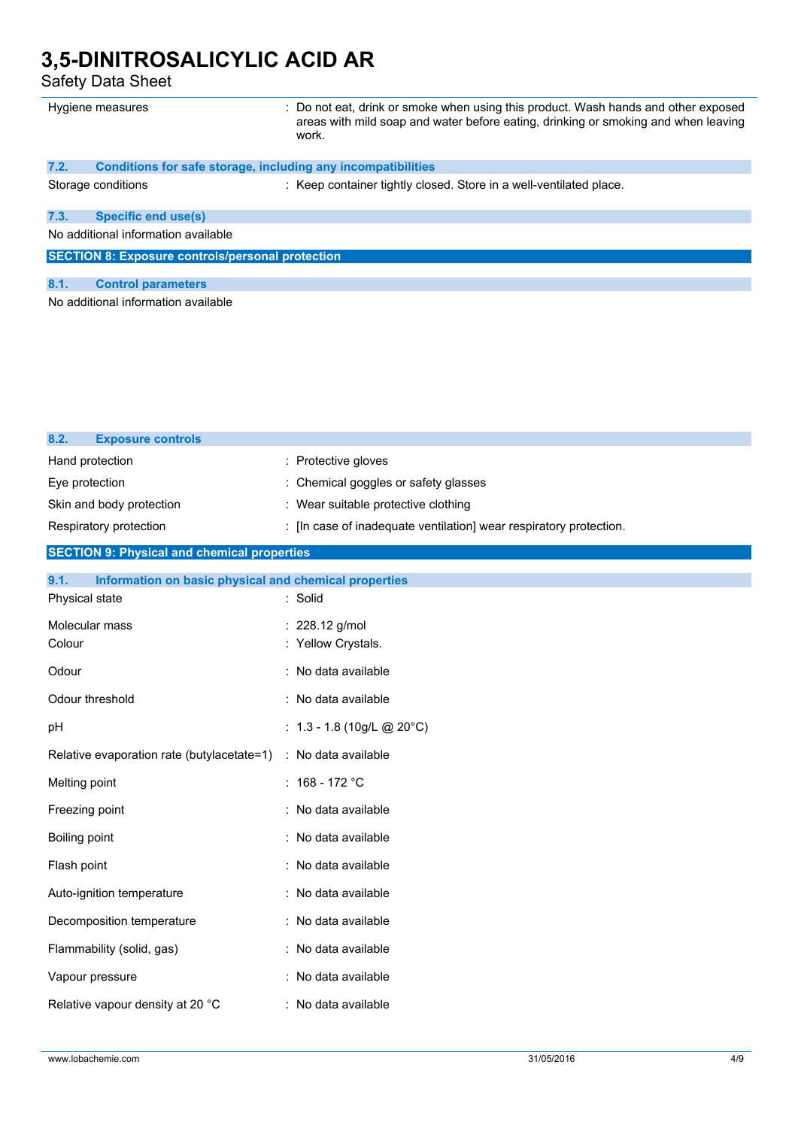Safety Data Sheet

| Hygiene measures                                        |                                                              | : Do not eat, drink or smoke when using this product. Wash hands and other exposed<br>areas with mild soap and water before eating, drinking or smoking and when leaving<br>work. |
|---------------------------------------------------------|--------------------------------------------------------------|-----------------------------------------------------------------------------------------------------------------------------------------------------------------------------------|
| 7.2.                                                    | Conditions for safe storage, including any incompatibilities |                                                                                                                                                                                   |
|                                                         | Storage conditions                                           | : Keep container tightly closed. Store in a well-ventilated place.                                                                                                                |
| 7.3.                                                    | <b>Specific end use(s)</b>                                   |                                                                                                                                                                                   |
| No additional information available                     |                                                              |                                                                                                                                                                                   |
| <b>SECTION 8: Exposure controls/personal protection</b> |                                                              |                                                                                                                                                                                   |
| 8.1.                                                    | <b>Control parameters</b>                                    |                                                                                                                                                                                   |
| No additional information available                     |                                                              |                                                                                                                                                                                   |

| 8.2.                     | <b>Exposure controls</b> |                                                                    |
|--------------------------|--------------------------|--------------------------------------------------------------------|
| Hand protection          |                          | : Protective gloves                                                |
| Eye protection           |                          | : Chemical goggles or safety glasses                               |
| Skin and body protection |                          | : Wear suitable protective clothing                                |
|                          | Respiratory protection   | : [In case of inadequate ventilation] wear respiratory protection. |

#### **SECTION 9: Physical and chemical properties**

| 9.1.<br>Information on basic physical and chemical properties |                                        |
|---------------------------------------------------------------|----------------------------------------|
| Physical state                                                | : Solid                                |
| Molecular mass<br>Colour                                      | : $228.12$ g/mol<br>: Yellow Crystals. |
| Odour                                                         | : No data available                    |
|                                                               |                                        |
| Odour threshold                                               | : No data available                    |
| рH                                                            | : $1.3 - 1.8$ (10g/L @ 20°C)           |
| Relative evaporation rate (butylacetate=1)                    | : No data available                    |
| Melting point                                                 | : $168 - 172$ °C                       |
| Freezing point                                                | : No data available                    |
| Boiling point                                                 | : No data available                    |
| Flash point                                                   | : No data available                    |
| Auto-ignition temperature                                     | : No data available                    |
| Decomposition temperature                                     | : No data available                    |
| Flammability (solid, gas)                                     | : No data available                    |
| Vapour pressure                                               | : No data available                    |
| Relative vapour density at 20 °C                              | : No data available                    |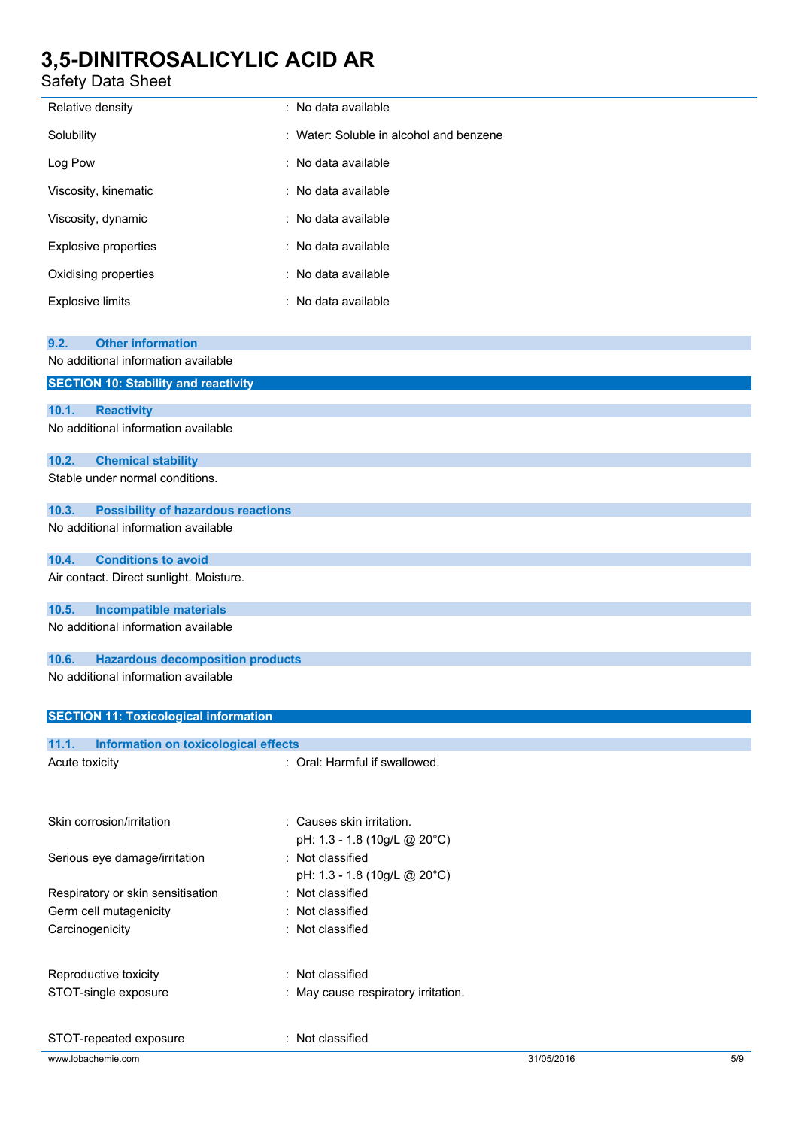### Safety Data Sheet

| Relative density                            | : No data available                     |
|---------------------------------------------|-----------------------------------------|
| Solubility                                  | : Water: Soluble in alcohol and benzene |
| Log Pow                                     | : No data available                     |
| Viscosity, kinematic                        | : No data available                     |
| Viscosity, dynamic                          | : No data available                     |
| <b>Explosive properties</b>                 | : No data available                     |
| Oxidising properties                        | : No data available                     |
| <b>Explosive limits</b>                     | : No data available                     |
|                                             |                                         |
| <b>Other information</b><br>9.2.            |                                         |
| No additional information available         |                                         |
| <b>SECTION 10: Stability and reactivity</b> |                                         |
|                                             |                                         |
| 10.1.<br><b>Reactivity</b>                  |                                         |
| No additional information available         |                                         |

| 10.2. | <b>Chemical stability</b>       |  |
|-------|---------------------------------|--|
|       | Stable under normal conditions. |  |

### **10.3. Possibility of hazardous reactions**

No additional information available

#### **10.4. Conditions to avoid**

Air contact. Direct sunlight. Moisture.

### **10.5. Incompatible materials**

No additional information available

#### **10.6. Hazardous decomposition products**

No additional information available

#### **SECTION 11: Toxicological information**

| <b>Information on toxicological effects</b><br>11.1. |                                                           |            |     |
|------------------------------------------------------|-----------------------------------------------------------|------------|-----|
| Acute toxicity                                       | : Oral: Harmful if swallowed.                             |            |     |
| Skin corrosion/irritation                            | : Causes skin irritation.<br>pH: 1.3 - 1.8 (10g/L @ 20°C) |            |     |
| Serious eye damage/irritation                        | : Not classified<br>pH: 1.3 - 1.8 (10g/L @ 20°C)          |            |     |
| Respiratory or skin sensitisation                    | : Not classified                                          |            |     |
| Germ cell mutagenicity                               | : Not classified                                          |            |     |
| Carcinogenicity                                      | : Not classified                                          |            |     |
| Reproductive toxicity                                | : Not classified                                          |            |     |
| STOT-single exposure                                 | : May cause respiratory irritation.                       |            |     |
| STOT-repeated exposure                               | : Not classified                                          |            |     |
| www.lobachemie.com                                   |                                                           | 31/05/2016 | 5/9 |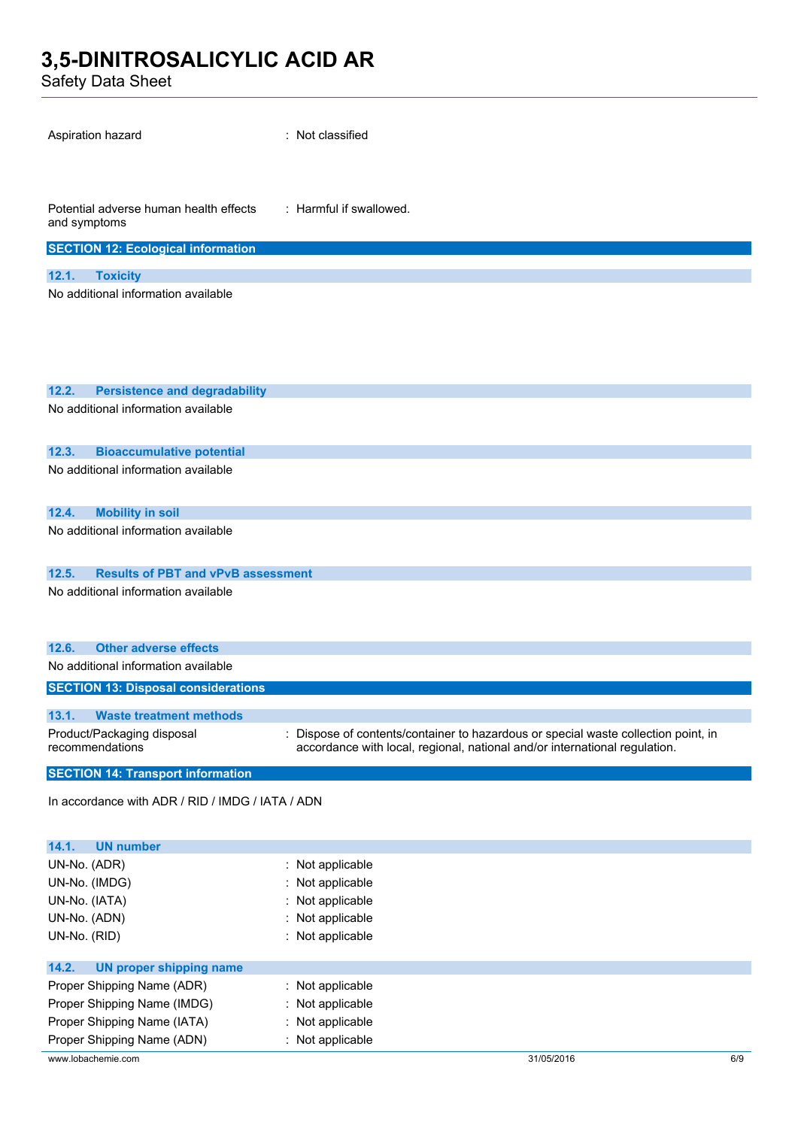Safety Data Sheet

| Aspiration hazard                                      | : Not classified                                                                      |
|--------------------------------------------------------|---------------------------------------------------------------------------------------|
| Potential adverse human health effects<br>and symptoms | : Harmful if swallowed.                                                               |
| <b>SECTION 12: Ecological information</b>              |                                                                                       |
| 12.1.<br><b>Toxicity</b>                               |                                                                                       |
| No additional information available                    |                                                                                       |
|                                                        |                                                                                       |
|                                                        |                                                                                       |
|                                                        |                                                                                       |
|                                                        |                                                                                       |
| 12.2.<br><b>Persistence and degradability</b>          |                                                                                       |
| No additional information available                    |                                                                                       |
| <b>Bioaccumulative potential</b><br>12.3.              |                                                                                       |
| No additional information available                    |                                                                                       |
| 12.4.<br><b>Mobility in soil</b>                       |                                                                                       |
| No additional information available                    |                                                                                       |
| 12.5.<br><b>Results of PBT and vPvB assessment</b>     |                                                                                       |
| No additional information available                    |                                                                                       |
|                                                        |                                                                                       |
|                                                        |                                                                                       |
| <b>Other adverse effects</b><br>12.6.                  |                                                                                       |
| No additional information available                    |                                                                                       |
| <b>SECTION 13: Disposal considerations</b>             |                                                                                       |
| 13.1.<br><b>Waste treatment methods</b>                |                                                                                       |
| Product/Packaging disposal                             | Dispose of contents/container to hazardous or special waste collection point, in<br>÷ |
| recommendations                                        | accordance with local, regional, national and/or international regulation.            |
| <b>SECTION 14: Transport information</b>               |                                                                                       |
| In accordance with ADR / RID / IMDG / IATA / ADN       |                                                                                       |
|                                                        |                                                                                       |
|                                                        |                                                                                       |
| <b>UN number</b><br>14.1.                              |                                                                                       |

| UN-No. (ADR)                     | $\therefore$ Not applicable |            |     |
|----------------------------------|-----------------------------|------------|-----|
| UN-No. (IMDG)                    | : Not applicable            |            |     |
| UN-No. (IATA)                    | : Not applicable            |            |     |
| UN-No. (ADN)                     | $\therefore$ Not applicable |            |     |
| UN-No. (RID)                     | : Not applicable            |            |     |
|                                  |                             |            |     |
| 14.2.<br>UN proper shipping name |                             |            |     |
| Proper Shipping Name (ADR)       | $\therefore$ Not applicable |            |     |
| Proper Shipping Name (IMDG)      | : Not applicable            |            |     |
| Proper Shipping Name (IATA)      | : Not applicable            |            |     |
| Proper Shipping Name (ADN)       | : Not applicable            |            |     |
| www.lobachemie.com               |                             | 31/05/2016 | 6/9 |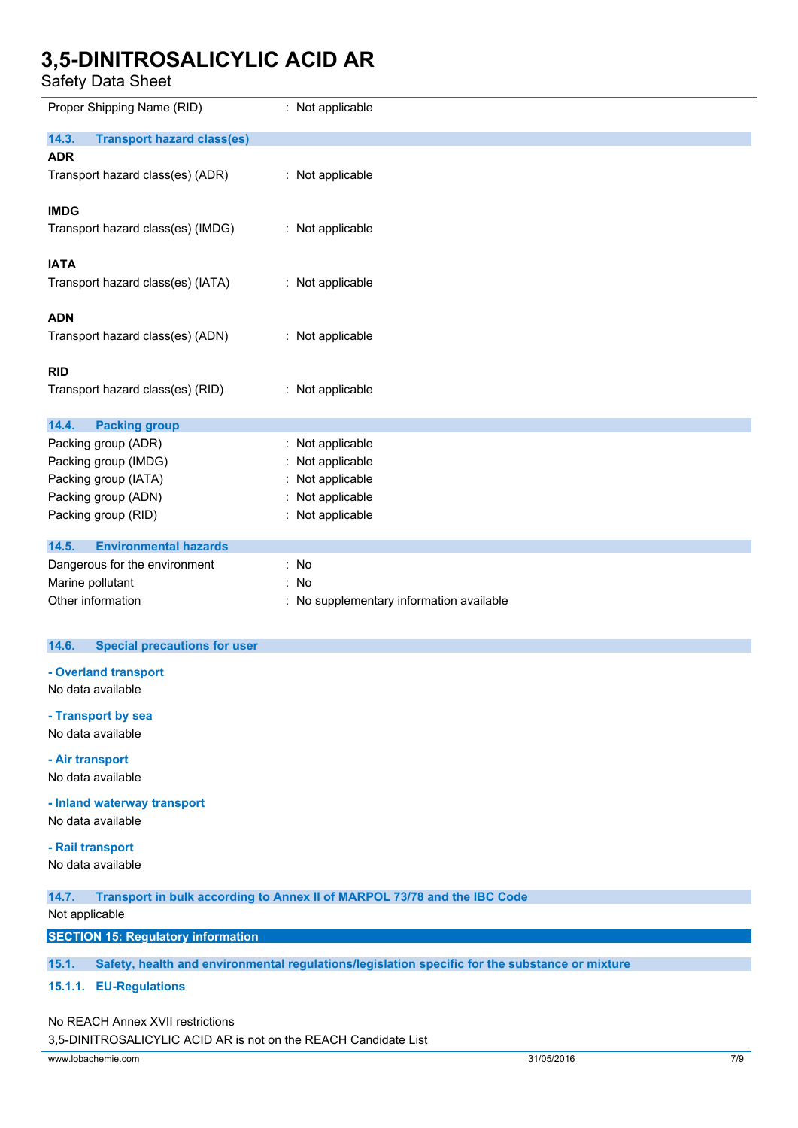Safety Data Sheet

| Proper Shipping Name (RID)                 | : Not applicable                         |
|--------------------------------------------|------------------------------------------|
| 14.3.<br><b>Transport hazard class(es)</b> |                                          |
| <b>ADR</b>                                 |                                          |
| Transport hazard class(es) (ADR)           | : Not applicable                         |
| <b>IMDG</b>                                |                                          |
| Transport hazard class(es) (IMDG)          | : Not applicable                         |
| <b>IATA</b>                                |                                          |
| Transport hazard class(es) (IATA)          | : Not applicable                         |
| <b>ADN</b>                                 |                                          |
| Transport hazard class(es) (ADN)           | : Not applicable                         |
| <b>RID</b>                                 |                                          |
| Transport hazard class(es) (RID)           | : Not applicable                         |
| 14.4.<br><b>Packing group</b>              |                                          |
| Packing group (ADR)                        | : Not applicable                         |
| Packing group (IMDG)                       | : Not applicable                         |
| Packing group (IATA)                       | Not applicable                           |
| Packing group (ADN)                        | : Not applicable                         |
| Packing group (RID)                        | : Not applicable                         |
| <b>Environmental hazards</b><br>14.5.      |                                          |
| Dangerous for the environment              | : No                                     |
| Marine pollutant                           | : No                                     |
| Other information                          | : No supplementary information available |

#### **14.6. Special precautions for user**

**- Overland transport**

No data available

**- Transport by sea**

No data available

**- Air transport** No data available

**- Inland waterway transport**

No data available

#### **- Rail transport**

No data available

**14.7. Transport in bulk according to Annex II of MARPOL 73/78 and the IBC Code**

#### Not applicable

#### **SECTION 15: Regulatory information**

**15.1. Safety, health and environmental regulations/legislation specific for the substance or mixture**

#### **15.1.1. EU-Regulations**

#### No REACH Annex XVII restrictions

3,5-DINITROSALICYLIC ACID AR is not on the REACH Candidate List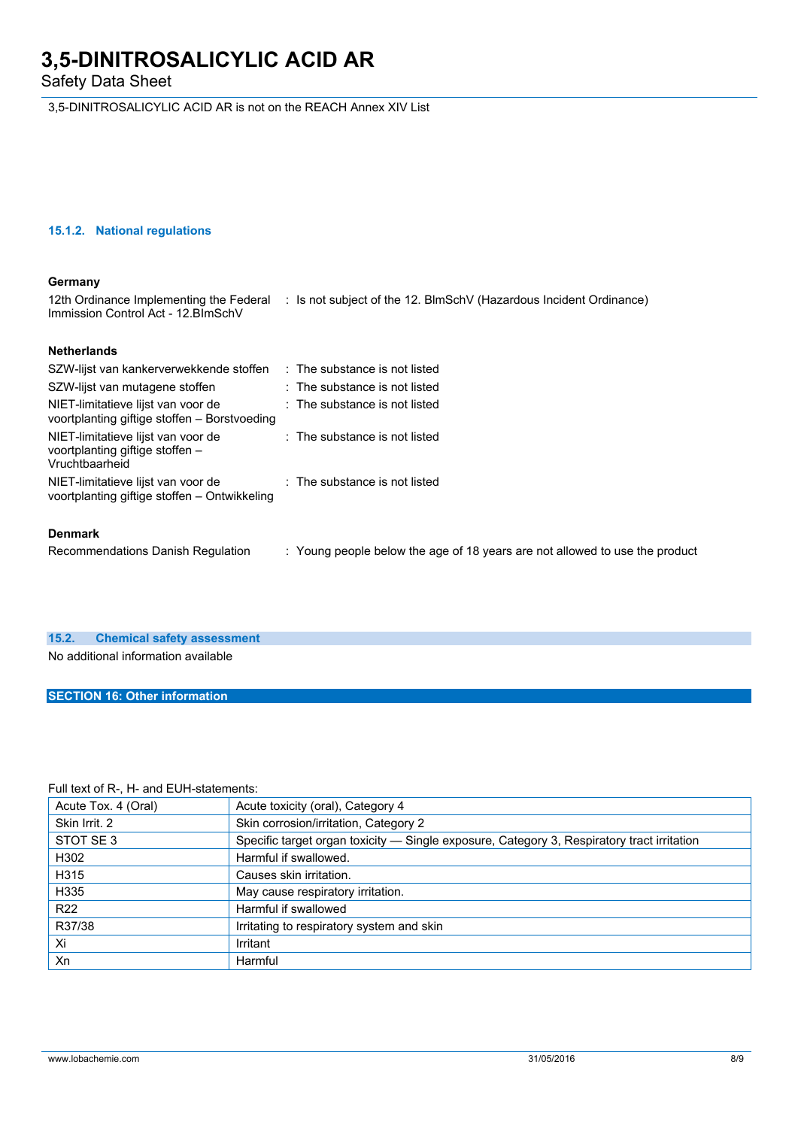Safety Data Sheet

3,5-DINITROSALICYLIC ACID AR is not on the REACH Annex XIV List

#### **15.1.2. National regulations**

#### **Germany**

12th Ordinance Implementing the Federal : Is not subject of the 12. BlmSchV (Hazardous Incident Ordinance) Immission Control Act - 12.BImSchV

#### **Netherlands**

| SZW-lijst van kankerverwekkende stoffen                                                 | : The substance is not listed            |
|-----------------------------------------------------------------------------------------|------------------------------------------|
| SZW-lijst van mutagene stoffen                                                          | : The substance is not listed            |
| NIET-limitatieve lijst van voor de<br>voortplanting giftige stoffen - Borstvoeding      | $:$ The substance is not listed          |
| NIET-limitatieve lijst van voor de<br>voortplanting giftige stoffen –<br>Vruchtbaarheid | $:$ The substance is not listed          |
| NIET-limitatieve lijst van voor de<br>voortplanting giftige stoffen - Ontwikkeling      | $\therefore$ The substance is not listed |
| <b>Denmark</b>                                                                          |                                          |

Recommendations Danish Regulation : Young people below the age of 18 years are not allowed to use the product

### **15.2. Chemical safety assessment**

No additional information available

#### **SECTION 16: Other information**

#### Full text of R-, H- and EUH-statements:

| Acute Tox. 4 (Oral) | Acute toxicity (oral), Category 4                                                          |
|---------------------|--------------------------------------------------------------------------------------------|
| Skin Irrit. 2       | Skin corrosion/irritation, Category 2                                                      |
| STOT SE3            | Specific target organ toxicity — Single exposure, Category 3, Respiratory tract irritation |
| H302                | Harmful if swallowed.                                                                      |
| H315                | Causes skin irritation.                                                                    |
| H335                | May cause respiratory irritation.                                                          |
| R <sub>22</sub>     | Harmful if swallowed                                                                       |
| R37/38              | Irritating to respiratory system and skin                                                  |
| Xi                  | Irritant                                                                                   |
| Xn                  | Harmful                                                                                    |